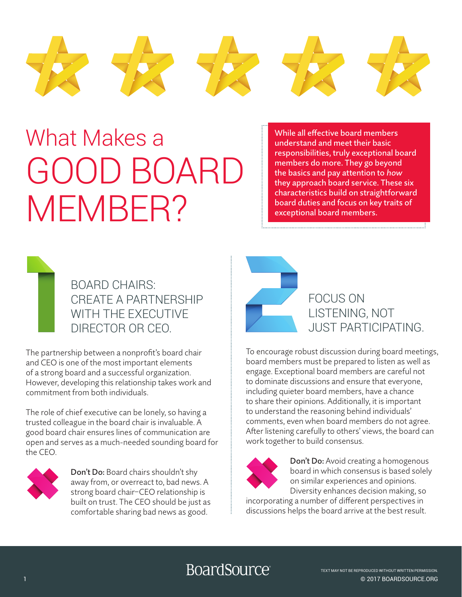

# What Makes a GOOD BOARD MEMBER?

While all effective board members understand and meet their basic responsibilities, truly exceptional board members do more. They go beyond the basics and pay attention to how they approach board service. These six characteristics build on straightforward board duties and focus on key traits of exceptional board members.



The partnership between a nonprofit's board chair and CEO is one of the most important elements of a strong board and a successful organization. However, developing this relationship takes work and commitment from both individuals.

The role of chief executive can be lonely, so having a trusted colleague in the board chair is invaluable. A good board chair ensures lines of communication are open and serves as a much-needed sounding board for the CEO.



Don't Do: Board chairs shouldn't shy away from, or overreact to, bad news. A strong board chair–CEO relationship is built on trust. The CEO should be just as comfortable sharing bad news as good.



To encourage robust discussion during board meetings, board members must be prepared to listen as well as engage. Exceptional board members are careful not to dominate discussions and ensure that everyone, including quieter board members, have a chance to share their opinions. Additionally, it is important to understand the reasoning behind individuals' comments, even when board members do not agree. After listening carefully to others' views, the board can work together to build consensus.



Don't Do: Avoid creating a homogenous board in which consensus is based solely on similar experiences and opinions. Diversity enhances decision making, so

incorporating a number of different perspectives in discussions helps the board arrive at the best result.

# BoardSource®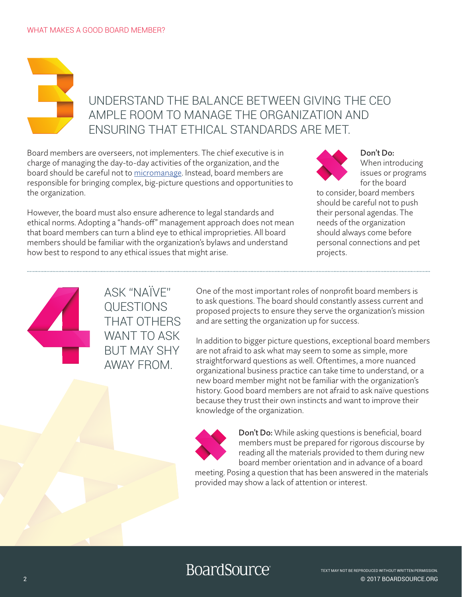# UNDERSTAND THE BALANCE BETWEEN GIVING THE CEO AMPLE ROOM TO MANAGE THE ORGANIZATION AND ENSURING THAT ETHICAL STANDARDS ARE MET.

Board members are overseers, not implementers. The chief executive is in charge of managing the day-to-day activities of the organization, and the board should be careful not to [micromanage.](https://boardsource.org/resources/boards-micromanage-2/) Instead, board members are responsible for bringing complex, big-picture questions and opportunities to the organization.

However, the board must also ensure adherence to legal standards and ethical norms. Adopting a "hands-off" management approach does not mean that board members can turn a blind eye to ethical improprieties. All board members should be familiar with the organization's bylaws and understand how best to respond to any ethical issues that might arise.

Don't Do: When introducing issues or programs for the board

to consider, board members should be careful not to push their personal agendas. The needs of the organization should always come before personal connections and pet projects.



ASK "NAÏVE" QUESTIONS THAT OTHERS WANT TO ASK BUT MAY SHY AWAY FROM.

One of the most important roles of nonprofit board members is to ask questions. The board should constantly assess current and proposed projects to ensure they serve the organization's mission and are setting the organization up for success.

In addition to bigger picture questions, exceptional board members are not afraid to ask what may seem to some as simple, more straightforward questions as well. Oftentimes, a more nuanced organizational business practice can take time to understand, or a new board member might not be familiar with the organization's history. Good board members are not afraid to ask naïve questions because they trust their own instincts and want to improve their knowledge of the organization.



Don't Do: While asking questions is beneficial, board members must be prepared for rigorous discourse by reading all the materials provided to them during new board member orientation and in advance of a board

meeting. Posing a question that has been answered in the materials provided may show a lack of attention or interest.

# **BoardSource**®

© 2017 BOARDSOURCE.ORG TEXT MAY NOT BE REPRODUCED WITHOUT WRITTEN PERMISSION.